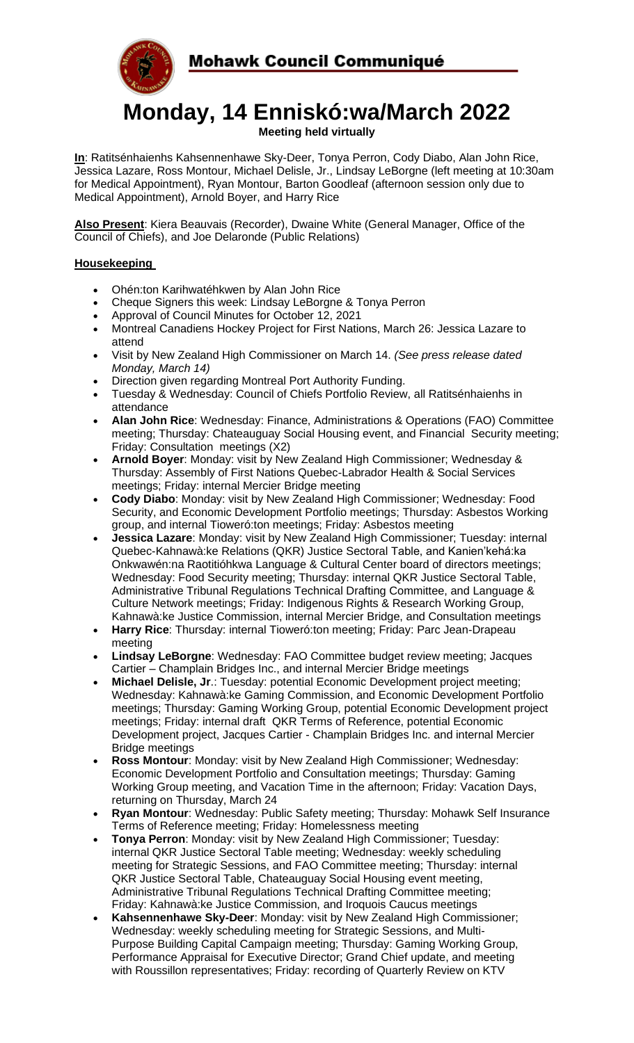



# **Monday, 14 Enniskó:wa/March 2022**

**Meeting held virtually**

**In**: Ratitsénhaienhs Kahsennenhawe Sky-Deer, Tonya Perron, Cody Diabo, Alan John Rice, Jessica Lazare, Ross Montour, Michael Delisle, Jr., Lindsay LeBorgne (left meeting at 10:30am for Medical Appointment), Ryan Montour, Barton Goodleaf (afternoon session only due to Medical Appointment), Arnold Boyer, and Harry Rice

**Also Present**: Kiera Beauvais (Recorder), Dwaine White (General Manager, Office of the Council of Chiefs), and Joe Delaronde (Public Relations)

## **Housekeeping**

- Ohén:ton Karihwatéhkwen by Alan John Rice
- Cheque Signers this week: Lindsay LeBorgne & Tonya Perron
- Approval of Council Minutes for October 12, 2021
- Montreal Canadiens Hockey Project for First Nations, March 26: Jessica Lazare to attend
- Visit by New Zealand High Commissioner on March 14. *(See press release dated Monday, March 14)*
- Direction given regarding Montreal Port Authority Funding.
- Tuesday & Wednesday: Council of Chiefs Portfolio Review, all Ratitsénhaienhs in attendance
- **Alan John Rice**: Wednesday: Finance, Administrations & Operations (FAO) Committee meeting; Thursday: Chateauguay Social Housing event, and Financial Security meeting; Friday: Consultation meetings (X2)
- **Arnold Boyer**: Monday: visit by New Zealand High Commissioner; Wednesday & Thursday: Assembly of First Nations Quebec-Labrador Health & Social Services meetings; Friday: internal Mercier Bridge meeting
- **Cody Diabo**: Monday: visit by New Zealand High Commissioner; Wednesday: Food Security, and Economic Development Portfolio meetings; Thursday: Asbestos Working group, and internal Tioweró:ton meetings; Friday: Asbestos meeting
- **Jessica Lazare**: Monday: visit by New Zealand High Commissioner; Tuesday: internal Quebec-Kahnawà:ke Relations (QKR) Justice Sectoral Table, and Kanien'kehá:ka Onkwawén:na Raotitióhkwa Language & Cultural Center board of directors meetings; Wednesday: Food Security meeting; Thursday: internal QKR Justice Sectoral Table, Administrative Tribunal Regulations Technical Drafting Committee, and Language & Culture Network meetings; Friday: Indigenous Rights & Research Working Group, Kahnawà:ke Justice Commission, internal Mercier Bridge, and Consultation meetings
- **Harry Rice**: Thursday: internal Tioweró:ton meeting; Friday: Parc Jean-Drapeau meeting
- **Lindsay LeBorgne**: Wednesday: FAO Committee budget review meeting; Jacques Cartier – Champlain Bridges Inc., and internal Mercier Bridge meetings
- **Michael Delisle, Jr**.: Tuesday: potential Economic Development project meeting; Wednesday: Kahnawà:ke Gaming Commission, and Economic Development Portfolio meetings; Thursday: Gaming Working Group, potential Economic Development project meetings; Friday: internal draft QKR Terms of Reference, potential Economic Development project, Jacques Cartier - Champlain Bridges Inc. and internal Mercier Bridge meetings
- **Ross Montour**: Monday: visit by New Zealand High Commissioner; Wednesday: Economic Development Portfolio and Consultation meetings; Thursday: Gaming Working Group meeting, and Vacation Time in the afternoon; Friday: Vacation Days, returning on Thursday, March 24
- **Ryan Montour**: Wednesday: Public Safety meeting; Thursday: Mohawk Self Insurance Terms of Reference meeting; Friday: Homelessness meeting
- **Tonya Perron**: Monday: visit by New Zealand High Commissioner; Tuesday: internal QKR Justice Sectoral Table meeting; Wednesday: weekly scheduling meeting for Strategic Sessions, and FAO Committee meeting; Thursday: internal QKR Justice Sectoral Table, Chateauguay Social Housing event meeting, Administrative Tribunal Regulations Technical Drafting Committee meeting; Friday: Kahnawà:ke Justice Commission, and Iroquois Caucus meetings
- **Kahsennenhawe Sky-Deer**: Monday: visit by New Zealand High Commissioner; Wednesday: weekly scheduling meeting for Strategic Sessions, and Multi-Purpose Building Capital Campaign meeting; Thursday: Gaming Working Group, Performance Appraisal for Executive Director; Grand Chief update, and meeting with Roussillon representatives; Friday: recording of Quarterly Review on KTV